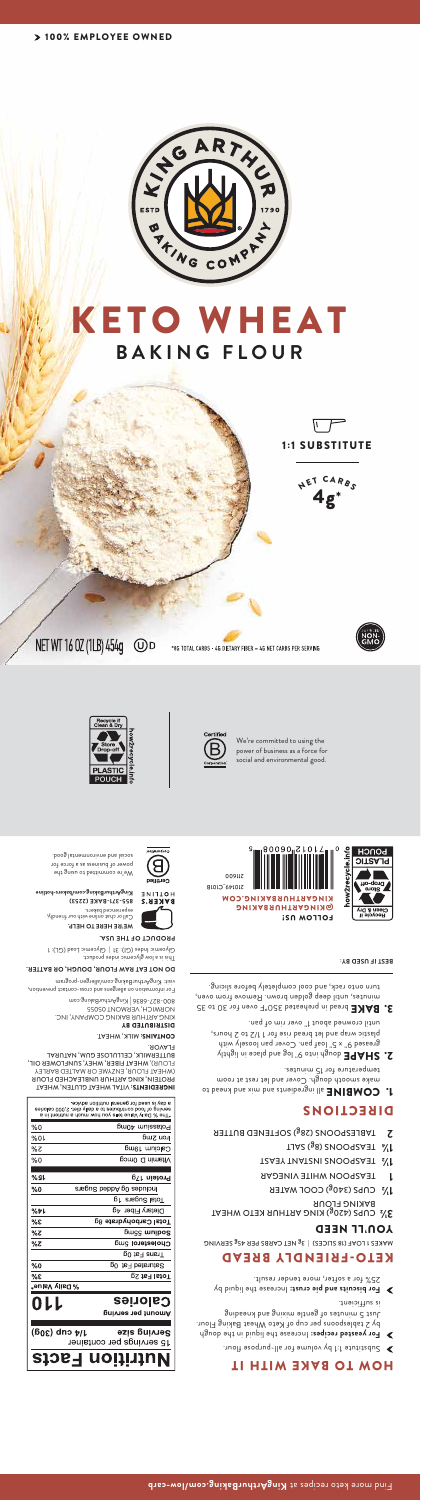

# **BAKING FLOUR** KETO WHEAT







\*8G TOTAL CARBS - 4G DIETARY FIBER = 4G NET CARBS PER SERVING